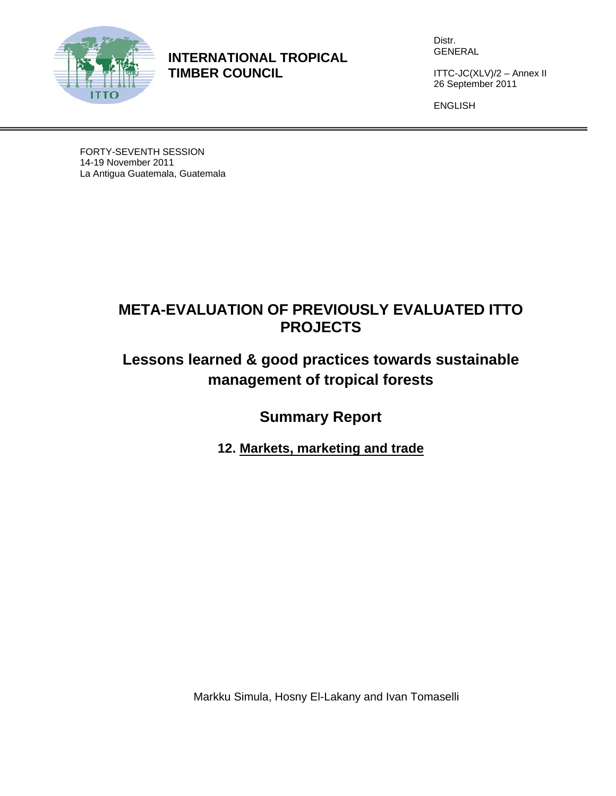

**INTERNATIONAL TROPICAL TIMBER COUNCIL** 

Distr. GENERAL

ITTC-JC(XLV)/2 – Annex II 26 September 2011

ENGLISH

FORTY-SEVENTH SESSION 14-19 November 2011 La Antigua Guatemala, Guatemala

# **META-EVALUATION OF PREVIOUSLY EVALUATED ITTO PROJECTS**

# **Lessons learned & good practices towards sustainable management of tropical forests**

**Summary Report** 

**12. Markets, marketing and trade** 

Markku Simula, Hosny El-Lakany and Ivan Tomaselli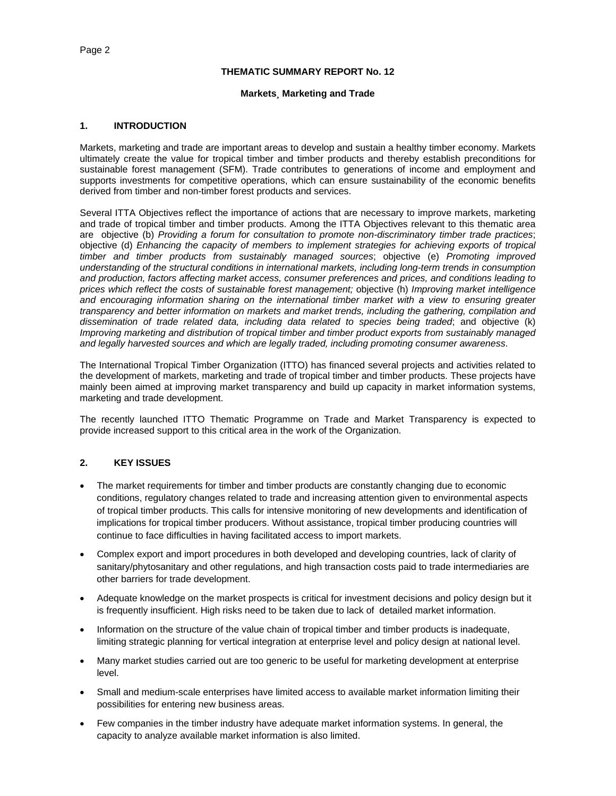#### **THEMATIC SUMMARY REPORT No. 12**

#### **Markets¸ Marketing and Trade**

#### **1. INTRODUCTION**

Markets, marketing and trade are important areas to develop and sustain a healthy timber economy. Markets ultimately create the value for tropical timber and timber products and thereby establish preconditions for sustainable forest management (SFM). Trade contributes to generations of income and employment and supports investments for competitive operations, which can ensure sustainability of the economic benefits derived from timber and non-timber forest products and services.

Several ITTA Objectives reflect the importance of actions that are necessary to improve markets, marketing and trade of tropical timber and timber products. Among the ITTA Objectives relevant to this thematic area are objective (b) *Providing a forum for consultation to promote non-discriminatory timber trade practices*; objective (d) *Enhancing the capacity of members to implement strategies for achieving exports of tropical timber and timber products from sustainably managed sources*; objective (e) *Promoting improved understanding of the structural conditions in international markets, including long-term trends in consumption and production, factors affecting market access, consumer preferences and prices, and conditions leading to prices which reflect the costs of sustainable forest management;* objective (h) *Improving market intelligence and encouraging information sharing on the international timber market with a view to ensuring greater transparency and better information on markets and market trends, including the gathering, compilation and dissemination of trade related data, including data related to species being traded*; and objective (k) *Improving marketing and distribution of tropical timber and timber product exports from sustainably managed and legally harvested sources and which are legally traded, including promoting consumer awareness*.

The International Tropical Timber Organization (ITTO) has financed several projects and activities related to the development of markets, marketing and trade of tropical timber and timber products. These projects have mainly been aimed at improving market transparency and build up capacity in market information systems, marketing and trade development.

The recently launched ITTO Thematic Programme on Trade and Market Transparency is expected to provide increased support to this critical area in the work of the Organization.

## **2. KEY ISSUES**

- The market requirements for timber and timber products are constantly changing due to economic conditions, regulatory changes related to trade and increasing attention given to environmental aspects of tropical timber products. This calls for intensive monitoring of new developments and identification of implications for tropical timber producers. Without assistance, tropical timber producing countries will continue to face difficulties in having facilitated access to import markets.
- Complex export and import procedures in both developed and developing countries, lack of clarity of sanitary/phytosanitary and other regulations, and high transaction costs paid to trade intermediaries are other barriers for trade development.
- Adequate knowledge on the market prospects is critical for investment decisions and policy design but it is frequently insufficient. High risks need to be taken due to lack of detailed market information.
- Information on the structure of the value chain of tropical timber and timber products is inadequate, limiting strategic planning for vertical integration at enterprise level and policy design at national level.
- Many market studies carried out are too generic to be useful for marketing development at enterprise level.
- Small and medium-scale enterprises have limited access to available market information limiting their possibilities for entering new business areas.
- Few companies in the timber industry have adequate market information systems. In general, the capacity to analyze available market information is also limited.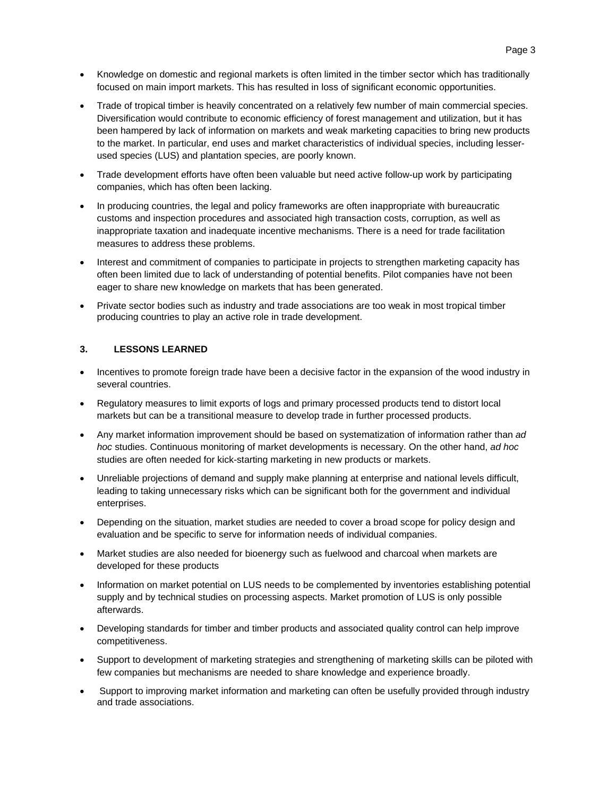- Knowledge on domestic and regional markets is often limited in the timber sector which has traditionally focused on main import markets. This has resulted in loss of significant economic opportunities.
- Trade of tropical timber is heavily concentrated on a relatively few number of main commercial species. Diversification would contribute to economic efficiency of forest management and utilization, but it has been hampered by lack of information on markets and weak marketing capacities to bring new products to the market. In particular, end uses and market characteristics of individual species, including lesserused species (LUS) and plantation species, are poorly known.
- Trade development efforts have often been valuable but need active follow-up work by participating companies, which has often been lacking.
- In producing countries, the legal and policy frameworks are often inappropriate with bureaucratic customs and inspection procedures and associated high transaction costs, corruption, as well as inappropriate taxation and inadequate incentive mechanisms. There is a need for trade facilitation measures to address these problems.
- Interest and commitment of companies to participate in projects to strengthen marketing capacity has often been limited due to lack of understanding of potential benefits. Pilot companies have not been eager to share new knowledge on markets that has been generated.
- Private sector bodies such as industry and trade associations are too weak in most tropical timber producing countries to play an active role in trade development.

## **3. LESSONS LEARNED**

- Incentives to promote foreign trade have been a decisive factor in the expansion of the wood industry in several countries.
- Regulatory measures to limit exports of logs and primary processed products tend to distort local markets but can be a transitional measure to develop trade in further processed products.
- Any market information improvement should be based on systematization of information rather than *ad hoc* studies. Continuous monitoring of market developments is necessary. On the other hand, *ad hoc* studies are often needed for kick-starting marketing in new products or markets.
- Unreliable projections of demand and supply make planning at enterprise and national levels difficult, leading to taking unnecessary risks which can be significant both for the government and individual enterprises.
- Depending on the situation, market studies are needed to cover a broad scope for policy design and evaluation and be specific to serve for information needs of individual companies.
- Market studies are also needed for bioenergy such as fuelwood and charcoal when markets are developed for these products
- Information on market potential on LUS needs to be complemented by inventories establishing potential supply and by technical studies on processing aspects. Market promotion of LUS is only possible afterwards.
- Developing standards for timber and timber products and associated quality control can help improve competitiveness.
- Support to development of marketing strategies and strengthening of marketing skills can be piloted with few companies but mechanisms are needed to share knowledge and experience broadly.
- Support to improving market information and marketing can often be usefully provided through industry and trade associations.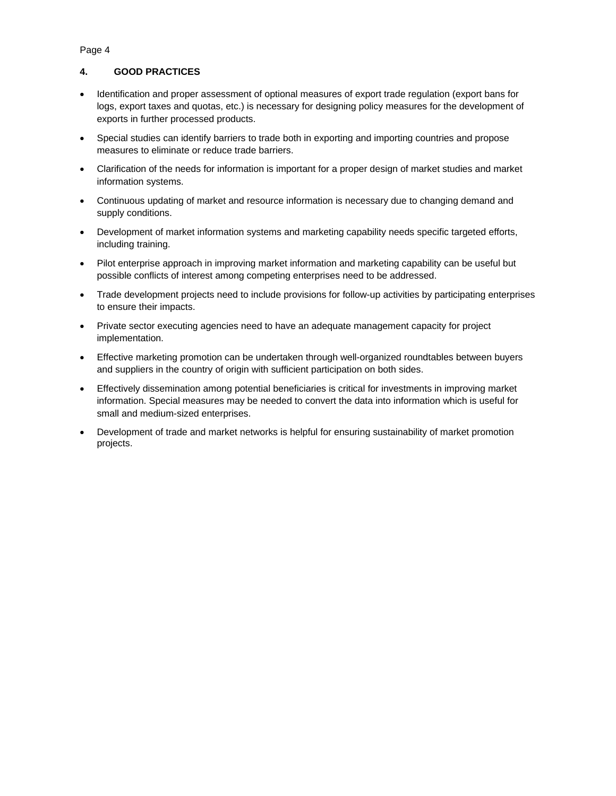# **4. GOOD PRACTICES**

- Identification and proper assessment of optional measures of export trade regulation (export bans for logs, export taxes and quotas, etc.) is necessary for designing policy measures for the development of exports in further processed products.
- Special studies can identify barriers to trade both in exporting and importing countries and propose measures to eliminate or reduce trade barriers.
- Clarification of the needs for information is important for a proper design of market studies and market information systems.
- Continuous updating of market and resource information is necessary due to changing demand and supply conditions.
- Development of market information systems and marketing capability needs specific targeted efforts, including training.
- Pilot enterprise approach in improving market information and marketing capability can be useful but possible conflicts of interest among competing enterprises need to be addressed.
- Trade development projects need to include provisions for follow-up activities by participating enterprises to ensure their impacts.
- Private sector executing agencies need to have an adequate management capacity for project implementation.
- Effective marketing promotion can be undertaken through well-organized roundtables between buyers and suppliers in the country of origin with sufficient participation on both sides.
- Effectively dissemination among potential beneficiaries is critical for investments in improving market information. Special measures may be needed to convert the data into information which is useful for small and medium-sized enterprises.
- Development of trade and market networks is helpful for ensuring sustainability of market promotion projects.

### Page 4